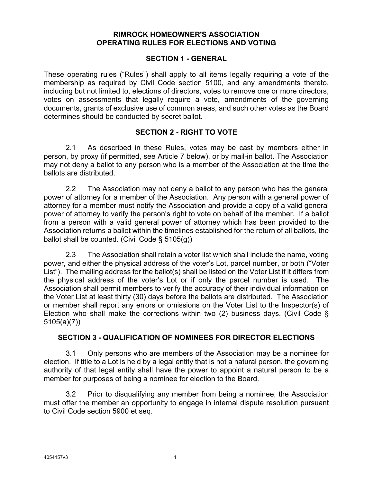#### **RIMROCK HOMEOWNER'S ASSOCIATION OPERATING RULES FOR ELECTIONS AND VOTING**

#### **SECTION 1 - GENERAL**

These operating rules ("Rules") shall apply to all items legally requiring a vote of the membership as required by Civil Code section 5100, and any amendments thereto, including but not limited to, elections of directors, votes to remove one or more directors, votes on assessments that legally require a vote, amendments of the governing documents, grants of exclusive use of common areas, and such other votes as the Board determines should be conducted by secret ballot.

#### **SECTION 2 - RIGHT TO VOTE**

2.1 As described in these Rules, votes may be cast by members either in person, by proxy (if permitted, see Article 7 below), or by mail-in ballot. The Association may not deny a ballot to any person who is a member of the Association at the time the ballots are distributed.

2.2 The Association may not deny a ballot to any person who has the general power of attorney for a member of the Association. Any person with a general power of attorney for a member must notify the Association and provide a copy of a valid general power of attorney to verify the person's right to vote on behalf of the member. If a ballot from a person with a valid general power of attorney which has been provided to the Association returns a ballot within the timelines established for the return of all ballots, the ballot shall be counted. (Civil Code § 5105(g))

2.3 The Association shall retain a voter list which shall include the name, voting power, and either the physical address of the voter's Lot, parcel number, or both ("Voter List"). The mailing address for the ballot(s) shall be listed on the Voter List if it differs from the physical address of the voter's Lot or if only the parcel number is used. The Association shall permit members to verify the accuracy of their individual information on the Voter List at least thirty (30) days before the ballots are distributed. The Association or member shall report any errors or omissions on the Voter List to the Inspector(s) of Election who shall make the corrections within two (2) business days. (Civil Code § 5105(a)(7))

#### **SECTION 3 - QUALIFICATION OF NOMINEES FOR DIRECTOR ELECTIONS**

3.1 Only persons who are members of the Association may be a nominee for election. If title to a Lot is held by a legal entity that is not a natural person, the governing authority of that legal entity shall have the power to appoint a natural person to be a member for purposes of being a nominee for election to the Board.

3.2 Prior to disqualifying any member from being a nominee, the Association must offer the member an opportunity to engage in internal dispute resolution pursuant to Civil Code section 5900 et seq.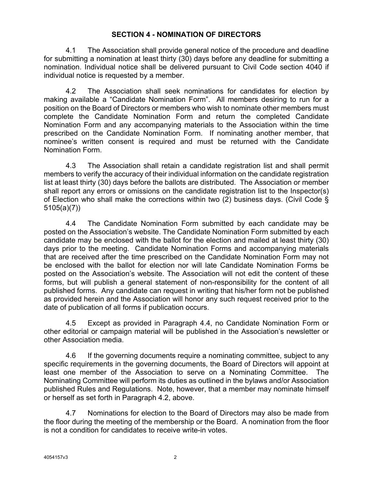## **SECTION 4 - NOMINATION OF DIRECTORS**

4.1 The Association shall provide general notice of the procedure and deadline for submitting a nomination at least thirty (30) days before any deadline for submitting a nomination. Individual notice shall be delivered pursuant to Civil Code section 4040 if individual notice is requested by a member.

4.2 The Association shall seek nominations for candidates for election by making available a "Candidate Nomination Form". All members desiring to run for a position on the Board of Directors or members who wish to nominate other members must complete the Candidate Nomination Form and return the completed Candidate Nomination Form and any accompanying materials to the Association within the time prescribed on the Candidate Nomination Form. If nominating another member, that nominee's written consent is required and must be returned with the Candidate Nomination Form.

4.3 The Association shall retain a candidate registration list and shall permit members to verify the accuracy of their individual information on the candidate registration list at least thirty (30) days before the ballots are distributed. The Association or member shall report any errors or omissions on the candidate registration list to the Inspector(s) of Election who shall make the corrections within two (2) business days. (Civil Code § 5105(a)(7))

4.4 The Candidate Nomination Form submitted by each candidate may be posted on the Association's website. The Candidate Nomination Form submitted by each candidate may be enclosed with the ballot for the election and mailed at least thirty (30) days prior to the meeting. Candidate Nomination Forms and accompanying materials that are received after the time prescribed on the Candidate Nomination Form may not be enclosed with the ballot for election nor will late Candidate Nomination Forms be posted on the Association's website. The Association will not edit the content of these forms, but will publish a general statement of non-responsibility for the content of all published forms. Any candidate can request in writing that his/her form not be published as provided herein and the Association will honor any such request received prior to the date of publication of all forms if publication occurs.

4.5 Except as provided in Paragraph 4.4, no Candidate Nomination Form or other editorial or campaign material will be published in the Association's newsletter or other Association media.

4.6 If the governing documents require a nominating committee, subject to any specific requirements in the governing documents, the Board of Directors will appoint at least one member of the Association to serve on a Nominating Committee. The Nominating Committee will perform its duties as outlined in the bylaws and/or Association published Rules and Regulations. Note, however, that a member may nominate himself or herself as set forth in Paragraph 4.2, above.

4.7 Nominations for election to the Board of Directors may also be made from the floor during the meeting of the membership or the Board. A nomination from the floor is not a condition for candidates to receive write-in votes.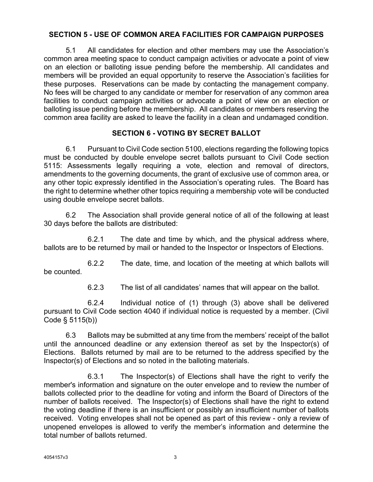### **SECTION 5 - USE OF COMMON AREA FACILITIES FOR CAMPAIGN PURPOSES**

5.1 All candidates for election and other members may use the Association's common area meeting space to conduct campaign activities or advocate a point of view on an election or balloting issue pending before the membership. All candidates and members will be provided an equal opportunity to reserve the Association's facilities for these purposes. Reservations can be made by contacting the management company. No fees will be charged to any candidate or member for reservation of any common area facilities to conduct campaign activities or advocate a point of view on an election or balloting issue pending before the membership. All candidates or members reserving the common area facility are asked to leave the facility in a clean and undamaged condition.

## **SECTION 6 - VOTING BY SECRET BALLOT**

6.1 Pursuant to Civil Code section 5100, elections regarding the following topics must be conducted by double envelope secret ballots pursuant to Civil Code section 5115: Assessments legally requiring a vote, election and removal of directors, amendments to the governing documents, the grant of exclusive use of common area, or any other topic expressly identified in the Association's operating rules. The Board has the right to determine whether other topics requiring a membership vote will be conducted using double envelope secret ballots.

6.2 The Association shall provide general notice of all of the following at least 30 days before the ballots are distributed:

6.2.1 The date and time by which, and the physical address where, ballots are to be returned by mail or handed to the Inspector or Inspectors of Elections.

6.2.2 The date, time, and location of the meeting at which ballots will be counted.

6.2.3 The list of all candidates' names that will appear on the ballot.

6.2.4 Individual notice of (1) through (3) above shall be delivered pursuant to Civil Code section 4040 if individual notice is requested by a member. (Civil Code § 5115(b))

6.3 Ballots may be submitted at any time from the members' receipt of the ballot until the announced deadline or any extension thereof as set by the Inspector(s) of Elections. Ballots returned by mail are to be returned to the address specified by the Inspector(s) of Elections and so noted in the balloting materials.

6.3.1 The Inspector(s) of Elections shall have the right to verify the member's information and signature on the outer envelope and to review the number of ballots collected prior to the deadline for voting and inform the Board of Directors of the number of ballots received. The Inspector(s) of Elections shall have the right to extend the voting deadline if there is an insufficient or possibly an insufficient number of ballots received. Voting envelopes shall not be opened as part of this review - only a review of unopened envelopes is allowed to verify the member's information and determine the total number of ballots returned.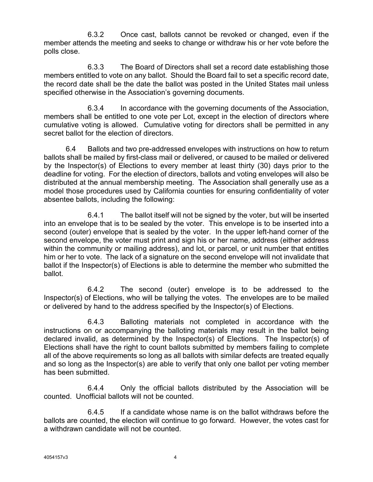6.3.2 Once cast, ballots cannot be revoked or changed, even if the member attends the meeting and seeks to change or withdraw his or her vote before the polls close.

6.3.3 The Board of Directors shall set a record date establishing those members entitled to vote on any ballot. Should the Board fail to set a specific record date, the record date shall be the date the ballot was posted in the United States mail unless specified otherwise in the Association's governing documents.

6.3.4 In accordance with the governing documents of the Association, members shall be entitled to one vote per Lot, except in the election of directors where cumulative voting is allowed. Cumulative voting for directors shall be permitted in any secret ballot for the election of directors.

6.4 Ballots and two pre-addressed envelopes with instructions on how to return ballots shall be mailed by first-class mail or delivered, or caused to be mailed or delivered by the Inspector(s) of Elections to every member at least thirty (30) days prior to the deadline for voting. For the election of directors, ballots and voting envelopes will also be distributed at the annual membership meeting. The Association shall generally use as a model those procedures used by California counties for ensuring confidentiality of voter absentee ballots, including the following:

6.4.1 The ballot itself will not be signed by the voter, but will be inserted into an envelope that is to be sealed by the voter. This envelope is to be inserted into a second (outer) envelope that is sealed by the voter. In the upper left-hand corner of the second envelope, the voter must print and sign his or her name, address (either address within the community or mailing address), and lot, or parcel, or unit number that entitles him or her to vote. The lack of a signature on the second envelope will not invalidate that ballot if the Inspector(s) of Elections is able to determine the member who submitted the ballot.

6.4.2 The second (outer) envelope is to be addressed to the Inspector(s) of Elections, who will be tallying the votes. The envelopes are to be mailed or delivered by hand to the address specified by the Inspector(s) of Elections.

6.4.3 Balloting materials not completed in accordance with the instructions on or accompanying the balloting materials may result in the ballot being declared invalid, as determined by the Inspector(s) of Elections. The Inspector(s) of Elections shall have the right to count ballots submitted by members failing to complete all of the above requirements so long as all ballots with similar defects are treated equally and so long as the Inspector(s) are able to verify that only one ballot per voting member has been submitted.

6.4.4 Only the official ballots distributed by the Association will be counted. Unofficial ballots will not be counted.

6.4.5 If a candidate whose name is on the ballot withdraws before the ballots are counted, the election will continue to go forward. However, the votes cast for a withdrawn candidate will not be counted.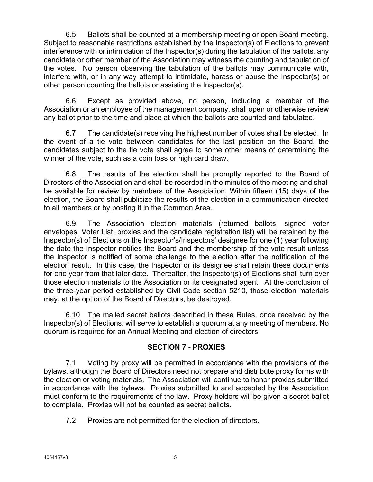6.5 Ballots shall be counted at a membership meeting or open Board meeting. Subject to reasonable restrictions established by the Inspector(s) of Elections to prevent interference with or intimidation of the Inspector(s) during the tabulation of the ballots, any candidate or other member of the Association may witness the counting and tabulation of the votes. No person observing the tabulation of the ballots may communicate with, interfere with, or in any way attempt to intimidate, harass or abuse the Inspector(s) or other person counting the ballots or assisting the Inspector(s).

6.6 Except as provided above, no person, including a member of the Association or an employee of the management company, shall open or otherwise review any ballot prior to the time and place at which the ballots are counted and tabulated.

6.7 The candidate(s) receiving the highest number of votes shall be elected. In the event of a tie vote between candidates for the last position on the Board, the candidates subject to the tie vote shall agree to some other means of determining the winner of the vote, such as a coin toss or high card draw.

6.8 The results of the election shall be promptly reported to the Board of Directors of the Association and shall be recorded in the minutes of the meeting and shall be available for review by members of the Association. Within fifteen (15) days of the election, the Board shall publicize the results of the election in a communication directed to all members or by posting it in the Common Area.

6.9 The Association election materials (returned ballots, signed voter envelopes, Voter List, proxies and the candidate registration list) will be retained by the Inspector(s) of Elections or the Inspector's/Inspectors' designee for one (1) year following the date the Inspector notifies the Board and the membership of the vote result unless the Inspector is notified of some challenge to the election after the notification of the election result. In this case, the Inspector or its designee shall retain these documents for one year from that later date. Thereafter, the Inspector(s) of Elections shall turn over those election materials to the Association or its designated agent. At the conclusion of the three-year period established by Civil Code section 5210, those election materials may, at the option of the Board of Directors, be destroyed.

6.10 The mailed secret ballots described in these Rules, once received by the Inspector(s) of Elections, will serve to establish a quorum at any meeting of members. No quorum is required for an Annual Meeting and election of directors.

# **SECTION 7 - PROXIES**

7.1 Voting by proxy will be permitted in accordance with the provisions of the bylaws, although the Board of Directors need not prepare and distribute proxy forms with the election or voting materials. The Association will continue to honor proxies submitted in accordance with the bylaws. Proxies submitted to and accepted by the Association must conform to the requirements of the law. Proxy holders will be given a secret ballot to complete. Proxies will not be counted as secret ballots.

7.2 Proxies are not permitted for the election of directors.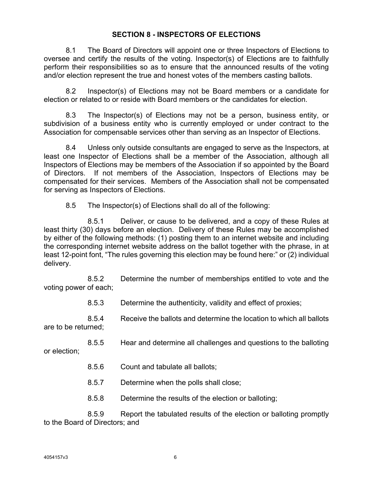### **SECTION 8 - INSPECTORS OF ELECTIONS**

8.1 The Board of Directors will appoint one or three Inspectors of Elections to oversee and certify the results of the voting. Inspector(s) of Elections are to faithfully perform their responsibilities so as to ensure that the announced results of the voting and/or election represent the true and honest votes of the members casting ballots.

8.2 Inspector(s) of Elections may not be Board members or a candidate for election or related to or reside with Board members or the candidates for election.

8.3 The Inspector(s) of Elections may not be a person, business entity, or subdivision of a business entity who is currently employed or under contract to the Association for compensable services other than serving as an Inspector of Elections.

8.4 Unless only outside consultants are engaged to serve as the Inspectors, at least one Inspector of Elections shall be a member of the Association, although all Inspectors of Elections may be members of the Association if so appointed by the Board of Directors. If not members of the Association, Inspectors of Elections may be compensated for their services. Members of the Association shall not be compensated for serving as Inspectors of Elections.

8.5 The Inspector(s) of Elections shall do all of the following:

8.5.1 Deliver, or cause to be delivered, and a copy of these Rules at least thirty (30) days before an election. Delivery of these Rules may be accomplished by either of the following methods: (1) posting them to an internet website and including the corresponding internet website address on the ballot together with the phrase, in at least 12-point font, "The rules governing this election may be found here:" or (2) individual delivery.

8.5.2 Determine the number of memberships entitled to vote and the voting power of each;

8.5.3 Determine the authenticity, validity and effect of proxies;

8.5.4 Receive the ballots and determine the location to which all ballots are to be returned;

8.5.5 Hear and determine all challenges and questions to the balloting or election;

- 8.5.6 Count and tabulate all ballots;
- 8.5.7 Determine when the polls shall close;
- 8.5.8 Determine the results of the election or balloting;

8.5.9 Report the tabulated results of the election or balloting promptly to the Board of Directors; and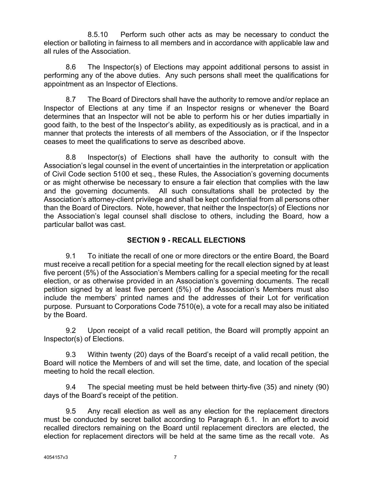8.5.10 Perform such other acts as may be necessary to conduct the election or balloting in fairness to all members and in accordance with applicable law and all rules of the Association.

8.6 The Inspector(s) of Elections may appoint additional persons to assist in performing any of the above duties. Any such persons shall meet the qualifications for appointment as an Inspector of Elections.

8.7 The Board of Directors shall have the authority to remove and/or replace an Inspector of Elections at any time if an Inspector resigns or whenever the Board determines that an Inspector will not be able to perform his or her duties impartially in good faith, to the best of the Inspector's ability, as expeditiously as is practical, and in a manner that protects the interests of all members of the Association, or if the Inspector ceases to meet the qualifications to serve as described above.

8.8 Inspector(s) of Elections shall have the authority to consult with the Association's legal counsel in the event of uncertainties in the interpretation or application of Civil Code section 5100 et seq., these Rules, the Association's governing documents or as might otherwise be necessary to ensure a fair election that complies with the law and the governing documents. All such consultations shall be protected by the Association's attorney-client privilege and shall be kept confidential from all persons other than the Board of Directors. Note, however, that neither the Inspector(s) of Elections nor the Association's legal counsel shall disclose to others, including the Board, how a particular ballot was cast.

## **SECTION 9 - RECALL ELECTIONS**

9.1 To initiate the recall of one or more directors or the entire Board, the Board must receive a recall petition for a special meeting for the recall election signed by at least five percent (5%) of the Association's Members calling for a special meeting for the recall election, or as otherwise provided in an Association's governing documents. The recall petition signed by at least five percent (5%) of the Association's Members must also include the members' printed names and the addresses of their Lot for verification purpose. Pursuant to Corporations Code 7510(e), a vote for a recall may also be initiated by the Board.

9.2 Upon receipt of a valid recall petition, the Board will promptly appoint an Inspector(s) of Elections.

9.3 Within twenty (20) days of the Board's receipt of a valid recall petition, the Board will notice the Members of and will set the time, date, and location of the special meeting to hold the recall election.

9.4 The special meeting must be held between thirty-five (35) and ninety (90) days of the Board's receipt of the petition.

9.5 Any recall election as well as any election for the replacement directors must be conducted by secret ballot according to Paragraph 6.1. In an effort to avoid recalled directors remaining on the Board until replacement directors are elected, the election for replacement directors will be held at the same time as the recall vote. As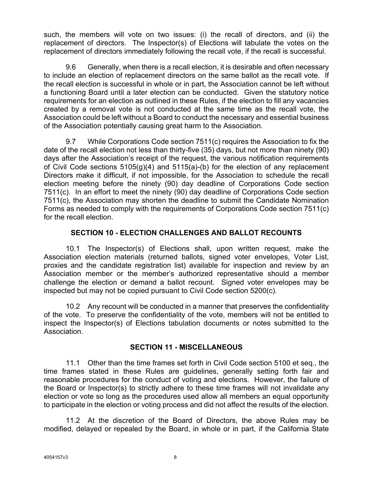such, the members will vote on two issues: (i) the recall of directors, and (ii) the replacement of directors. The Inspector(s) of Elections will tabulate the votes on the replacement of directors immediately following the recall vote, if the recall is successful.

9.6 Generally, when there is a recall election, it is desirable and often necessary to include an election of replacement directors on the same ballot as the recall vote. If the recall election is successful in whole or in part, the Association cannot be left without a functioning Board until a later election can be conducted. Given the statutory notice requirements for an election as outlined in these Rules, if the election to fill any vacancies created by a removal vote is not conducted at the same time as the recall vote, the Association could be left without a Board to conduct the necessary and essential business of the Association potentially causing great harm to the Association.

9.7 While Corporations Code section 7511(c) requires the Association to fix the date of the recall election not less than thirty-five (35) days, but not more than ninety (90) days after the Association's receipt of the request, the various notification requirements of Civil Code sections  $5105(q)(4)$  and  $5115(q)-(b)$  for the election of any replacement Directors make it difficult, if not impossible, for the Association to schedule the recall election meeting before the ninety (90) day deadline of Corporations Code section 7511(c). In an effort to meet the ninety (90) day deadline of Corporations Code section 7511(c), the Association may shorten the deadline to submit the Candidate Nomination Forms as needed to comply with the requirements of Corporations Code section 7511(c) for the recall election.

## **SECTION 10 - ELECTION CHALLENGES AND BALLOT RECOUNTS**

10.1 The Inspector(s) of Elections shall, upon written request, make the Association election materials (returned ballots, signed voter envelopes, Voter List, proxies and the candidate registration list) available for inspection and review by an Association member or the member's authorized representative should a member challenge the election or demand a ballot recount. Signed voter envelopes may be inspected but may not be copied pursuant to Civil Code section 5200(c).

10.2 Any recount will be conducted in a manner that preserves the confidentiality of the vote. To preserve the confidentiality of the vote, members will not be entitled to inspect the Inspector(s) of Elections tabulation documents or notes submitted to the Association.

#### **SECTION 11 - MISCELLANEOUS**

11.1 Other than the time frames set forth in Civil Code section 5100 et seq., the time frames stated in these Rules are guidelines, generally setting forth fair and reasonable procedures for the conduct of voting and elections. However, the failure of the Board or Inspector(s) to strictly adhere to these time frames will not invalidate any election or vote so long as the procedures used allow all members an equal opportunity to participate in the election or voting process and did not affect the results of the election.

11.2 At the discretion of the Board of Directors, the above Rules may be modified, delayed or repealed by the Board, in whole or in part, if the California State